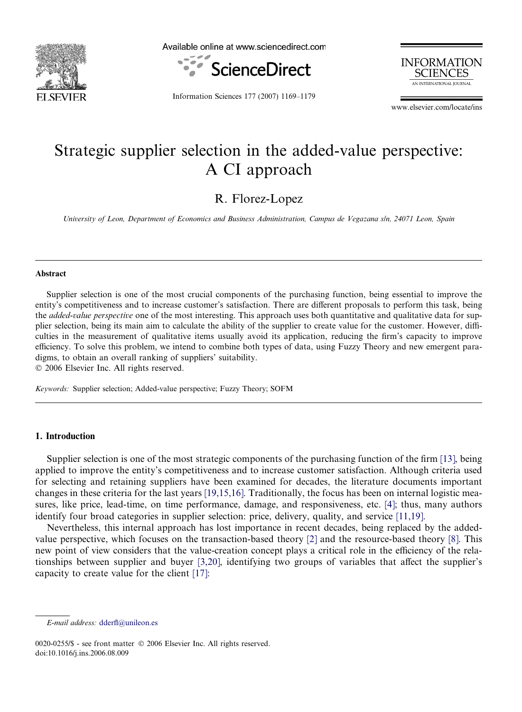

Available online at www.sciencedirect.com





Information Sciences 177 (2007) 1169–1179

www.elsevier.com/locate/ins

## Strategic supplier selection in the added-value perspective: A CI approach

R. Florez-Lopez

University of Leon, Department of Economics and Business Administration, Campus de Vegazana s/n, 24071 Leon, Spain

#### Abstract

Supplier selection is one of the most crucial components of the purchasing function, being essential to improve the entity's competitiveness and to increase customer's satisfaction. There are different proposals to perform this task, being the *added-value perspective* one of the most interesting. This approach uses both quantitative and qualitative data for supplier selection, being its main aim to calculate the ability of the supplier to create value for the customer. However, difficulties in the measurement of qualitative items usually avoid its application, reducing the firm's capacity to improve efficiency. To solve this problem, we intend to combine both types of data, using Fuzzy Theory and new emergent paradigms, to obtain an overall ranking of suppliers' suitability.

© 2006 Elsevier Inc. All rights reserved.

Keywords: Supplier selection; Added-value perspective; Fuzzy Theory; SOFM

#### 1. Introduction

Supplier selection is one of the most strategic components of the purchasing function of the firm [\[13\],](#page--1-0) being applied to improve the entity's competitiveness and to increase customer satisfaction. Although criteria used for selecting and retaining suppliers have been examined for decades, the literature documents important changes in these criteria for the last years [\[19,15,16\].](#page--1-0) Traditionally, the focus has been on internal logistic measures, like price, lead-time, on time performance, damage, and responsiveness, etc. [\[4\];](#page--1-0) thus, many authors identify four broad categories in supplier selection: price, delivery, quality, and service [\[11,19\]](#page--1-0).

Nevertheless, this internal approach has lost importance in recent decades, being replaced by the addedvalue perspective, which focuses on the transaction-based theory [\[2\]](#page--1-0) and the resource-based theory [\[8\]](#page--1-0). This new point of view considers that the value-creation concept plays a critical role in the efficiency of the relationships between supplier and buyer [\[3,20\]](#page--1-0), identifying two groups of variables that affect the supplier's capacity to create value for the client [\[17\]](#page--1-0):

E-mail address: [dderfl@unileon.es](mailto:dderfl@unileon.es)

<sup>0020-0255/\$ -</sup> see front matter © 2006 Elsevier Inc. All rights reserved. doi:10.1016/j.ins.2006.08.009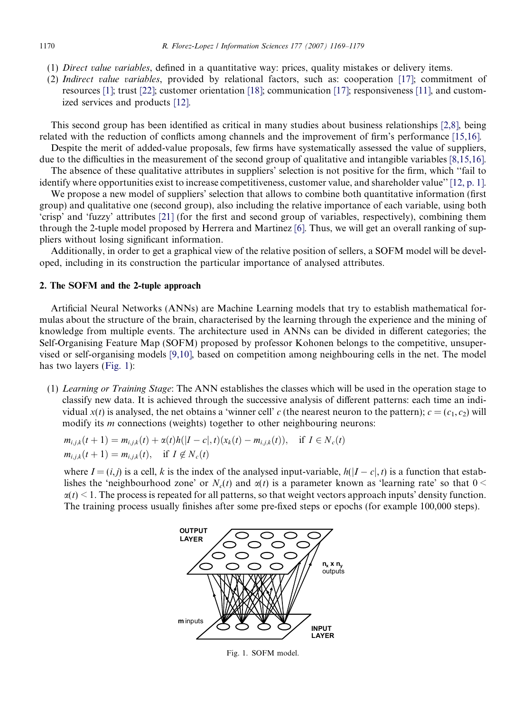- (1) Direct value variables, defined in a quantitative way: prices, quality mistakes or delivery items.
- (2) Indirect value variables, provided by relational factors, such as: cooperation [\[17\]](#page--1-0); commitment of resources [\[1\];](#page--1-0) trust [\[22\]](#page--1-0); customer orientation [\[18\];](#page--1-0) communication [\[17\];](#page--1-0) responsiveness [\[11\]](#page--1-0), and customized services and products [\[12\]](#page--1-0).

This second group has been identified as critical in many studies about business relationships [\[2,8\]](#page--1-0), being related with the reduction of conflicts among channels and the improvement of firm's performance [\[15,16\]](#page--1-0).

Despite the merit of added-value proposals, few firms have systematically assessed the value of suppliers, due to the difficulties in the measurement of the second group of qualitative and intangible variables [\[8,15,16\].](#page--1-0)

The absence of these qualitative attributes in suppliers' selection is not positive for the firm, which ''fail to identify where opportunities exist to increase competitiveness, customer value, and shareholder value'' [\[12, p. 1\].](#page--1-0)

We propose a new model of suppliers' selection that allows to combine both quantitative information (first group) and qualitative one (second group), also including the relative importance of each variable, using both 'crisp' and 'fuzzy' attributes [\[21\]](#page--1-0) (for the first and second group of variables, respectively), combining them through the 2-tuple model proposed by Herrera and Martinez [\[6\]](#page--1-0). Thus, we will get an overall ranking of suppliers without losing significant information.

Additionally, in order to get a graphical view of the relative position of sellers, a SOFM model will be developed, including in its construction the particular importance of analysed attributes.

### 2. The SOFM and the 2-tuple approach

Artificial Neural Networks (ANNs) are Machine Learning models that try to establish mathematical formulas about the structure of the brain, characterised by the learning through the experience and the mining of knowledge from multiple events. The architecture used in ANNs can be divided in different categories; the Self-Organising Feature Map (SOFM) proposed by professor Kohonen belongs to the competitive, unsupervised or self-organising models [\[9,10\],](#page--1-0) based on competition among neighbouring cells in the net. The model has two layers (Fig. 1):

(1) Learning or Training Stage: The ANN establishes the classes which will be used in the operation stage to classify new data. It is achieved through the successive analysis of different patterns: each time an individual  $x(t)$  is analysed, the net obtains a 'winner cell' c (the nearest neuron to the pattern);  $c = (c_1, c_2)$  will modify its *m* connections (weights) together to other neighbouring neurons:

$$
m_{i,j,k}(t+1) = m_{i,j,k}(t) + \alpha(t)h(|I - c|, t)(x_k(t) - m_{i,j,k}(t)), \text{ if } I \in N_c(t)
$$
  

$$
m_{i,j,k}(t+1) = m_{i,j,k}(t), \text{ if } I \notin N_c(t)
$$

where  $I = (i, j)$  is a cell, k is the index of the analysed input-variable,  $h(|I - c|, t)$  is a function that establishes the 'neighbourhood zone' or  $N_c(t)$  and  $\alpha(t)$  is a parameter known as 'learning rate' so that  $0 \le$  $\alpha(t)$  < 1. The process is repeated for all patterns, so that weight vectors approach inputs' density function. The training process usually finishes after some pre-fixed steps or epochs (for example 100,000 steps).



Fig. 1. SOFM model.